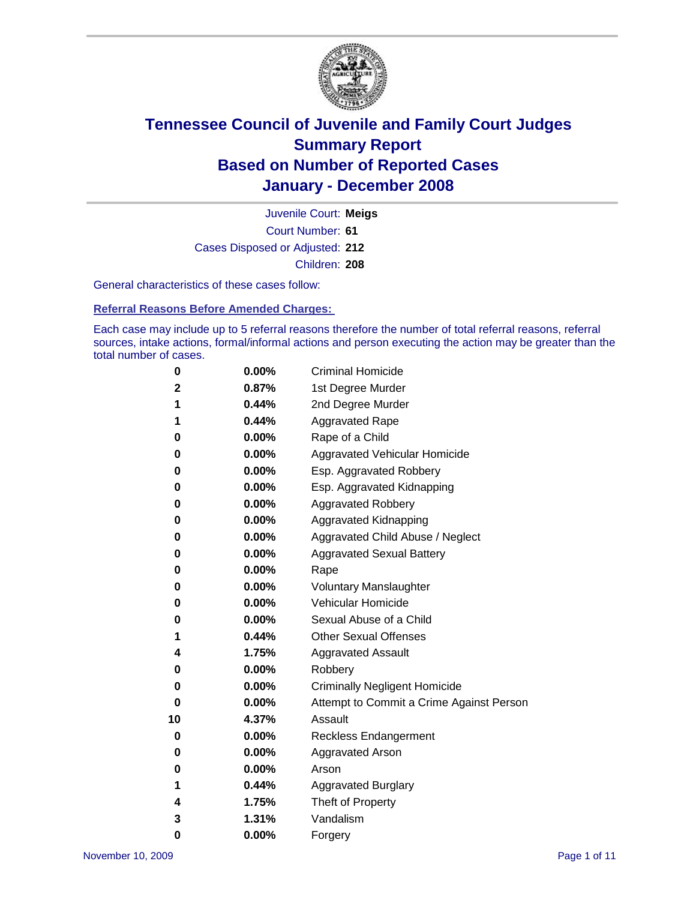

Court Number: **61** Juvenile Court: **Meigs** Cases Disposed or Adjusted: **212** Children: **208**

General characteristics of these cases follow:

**Referral Reasons Before Amended Charges:** 

Each case may include up to 5 referral reasons therefore the number of total referral reasons, referral sources, intake actions, formal/informal actions and person executing the action may be greater than the total number of cases.

| 0  | 0.00%    | <b>Criminal Homicide</b>                 |
|----|----------|------------------------------------------|
| 2  | 0.87%    | 1st Degree Murder                        |
| 1  | 0.44%    | 2nd Degree Murder                        |
| 1  | 0.44%    | <b>Aggravated Rape</b>                   |
| 0  | 0.00%    | Rape of a Child                          |
| 0  | 0.00%    | Aggravated Vehicular Homicide            |
| 0  | 0.00%    | Esp. Aggravated Robbery                  |
| 0  | 0.00%    | Esp. Aggravated Kidnapping               |
| 0  | 0.00%    | Aggravated Robbery                       |
| 0  | 0.00%    | Aggravated Kidnapping                    |
| 0  | 0.00%    | Aggravated Child Abuse / Neglect         |
| 0  | 0.00%    | <b>Aggravated Sexual Battery</b>         |
| 0  | 0.00%    | Rape                                     |
| 0  | 0.00%    | <b>Voluntary Manslaughter</b>            |
| 0  | 0.00%    | Vehicular Homicide                       |
| 0  | $0.00\%$ | Sexual Abuse of a Child                  |
| 1  | 0.44%    | <b>Other Sexual Offenses</b>             |
| 4  | 1.75%    | <b>Aggravated Assault</b>                |
| 0  | 0.00%    | Robbery                                  |
| 0  | $0.00\%$ | <b>Criminally Negligent Homicide</b>     |
| 0  | 0.00%    | Attempt to Commit a Crime Against Person |
| 10 | 4.37%    | Assault                                  |
| 0  | 0.00%    | Reckless Endangerment                    |
| 0  | $0.00\%$ | <b>Aggravated Arson</b>                  |
| 0  | 0.00%    | Arson                                    |
| 1  | 0.44%    | <b>Aggravated Burglary</b>               |
| 4  | 1.75%    | Theft of Property                        |
| 3  | 1.31%    | Vandalism                                |
| 0  | 0.00%    | Forgery                                  |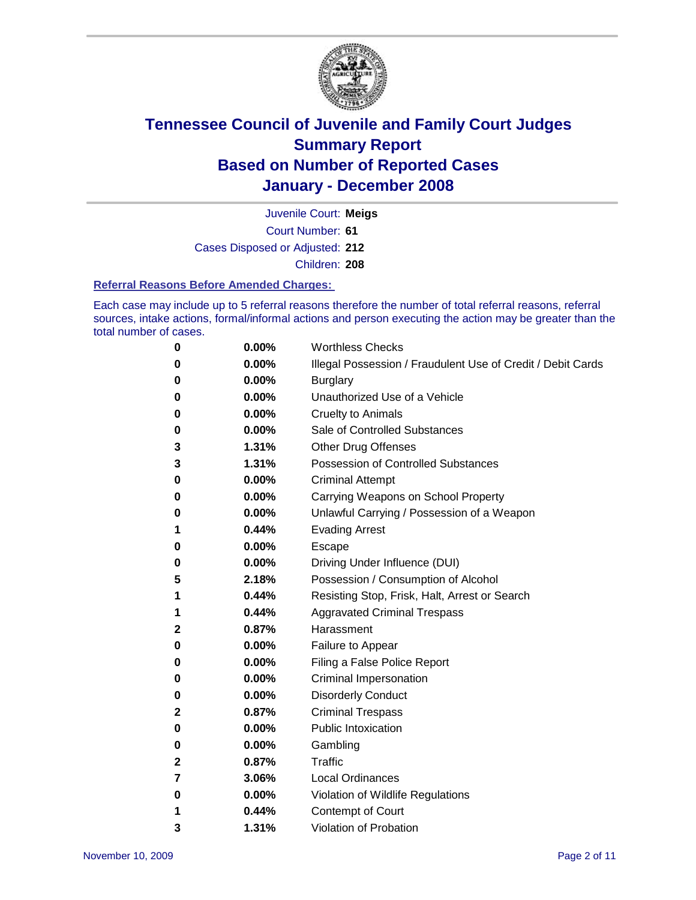

Court Number: **61** Juvenile Court: **Meigs** Cases Disposed or Adjusted: **212** Children: **208**

#### **Referral Reasons Before Amended Charges:**

Each case may include up to 5 referral reasons therefore the number of total referral reasons, referral sources, intake actions, formal/informal actions and person executing the action may be greater than the total number of cases.

| 0            | 0.00% | <b>Worthless Checks</b>                                     |
|--------------|-------|-------------------------------------------------------------|
| 0            | 0.00% | Illegal Possession / Fraudulent Use of Credit / Debit Cards |
| 0            | 0.00% | <b>Burglary</b>                                             |
| 0            | 0.00% | Unauthorized Use of a Vehicle                               |
| 0            | 0.00% | <b>Cruelty to Animals</b>                                   |
| 0            | 0.00% | Sale of Controlled Substances                               |
| 3            | 1.31% | <b>Other Drug Offenses</b>                                  |
| 3            | 1.31% | <b>Possession of Controlled Substances</b>                  |
| 0            | 0.00% | <b>Criminal Attempt</b>                                     |
| 0            | 0.00% | Carrying Weapons on School Property                         |
| 0            | 0.00% | Unlawful Carrying / Possession of a Weapon                  |
| 1            | 0.44% | <b>Evading Arrest</b>                                       |
| 0            | 0.00% | Escape                                                      |
| 0            | 0.00% | Driving Under Influence (DUI)                               |
| 5            | 2.18% | Possession / Consumption of Alcohol                         |
| 1            | 0.44% | Resisting Stop, Frisk, Halt, Arrest or Search               |
| 1            | 0.44% | <b>Aggravated Criminal Trespass</b>                         |
| 2            | 0.87% | Harassment                                                  |
| 0            | 0.00% | Failure to Appear                                           |
| 0            | 0.00% | Filing a False Police Report                                |
| 0            | 0.00% | Criminal Impersonation                                      |
| 0            | 0.00% | <b>Disorderly Conduct</b>                                   |
| $\mathbf{2}$ | 0.87% | <b>Criminal Trespass</b>                                    |
| 0            | 0.00% | <b>Public Intoxication</b>                                  |
| 0            | 0.00% | Gambling                                                    |
| 2            | 0.87% | Traffic                                                     |
| 7            | 3.06% | <b>Local Ordinances</b>                                     |
| 0            | 0.00% | Violation of Wildlife Regulations                           |
| 1            | 0.44% | Contempt of Court                                           |
| 3            | 1.31% | <b>Violation of Probation</b>                               |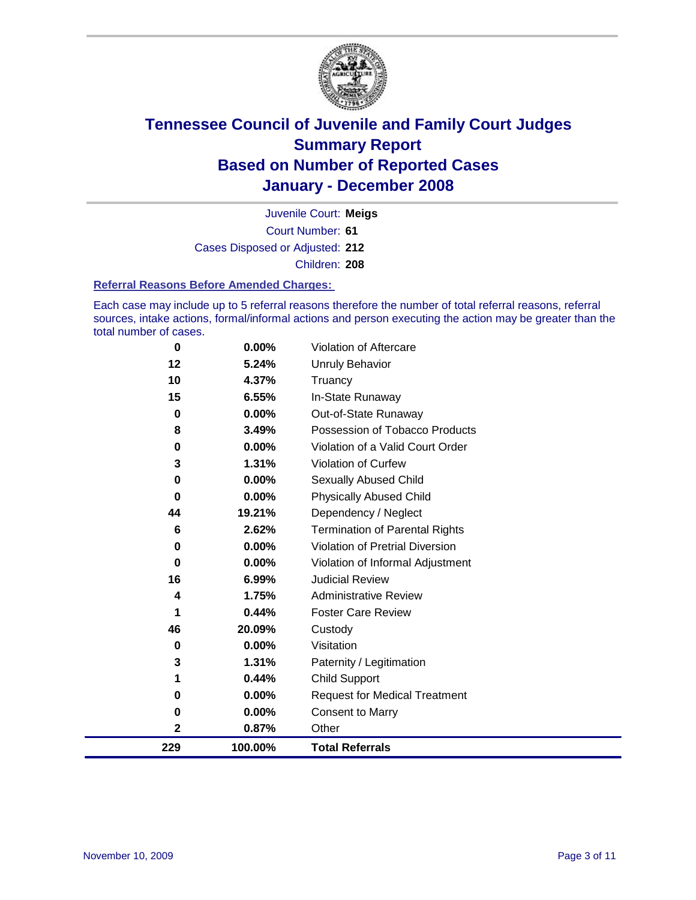

Court Number: **61** Juvenile Court: **Meigs** Cases Disposed or Adjusted: **212** Children: **208**

#### **Referral Reasons Before Amended Charges:**

Each case may include up to 5 referral reasons therefore the number of total referral reasons, referral sources, intake actions, formal/informal actions and person executing the action may be greater than the total number of cases.

| 229      | 100.00% | <b>Total Referrals</b>                 |
|----------|---------|----------------------------------------|
| 2        | 0.87%   | Other                                  |
| 0        | 0.00%   | <b>Consent to Marry</b>                |
| 0        | 0.00%   | <b>Request for Medical Treatment</b>   |
| 1        | 0.44%   | <b>Child Support</b>                   |
| 3        | 1.31%   | Paternity / Legitimation               |
| 0        | 0.00%   | Visitation                             |
| 46       | 20.09%  | Custody                                |
| 1        | 0.44%   | <b>Foster Care Review</b>              |
| 4        | 1.75%   | <b>Administrative Review</b>           |
| 16       | 6.99%   | <b>Judicial Review</b>                 |
| 0        | 0.00%   | Violation of Informal Adjustment       |
| $\bf{0}$ | 0.00%   | <b>Violation of Pretrial Diversion</b> |
| 6        | 2.62%   | <b>Termination of Parental Rights</b>  |
| 44       | 19.21%  | Dependency / Neglect                   |
| $\bf{0}$ | 0.00%   | <b>Physically Abused Child</b>         |
| 0        | 0.00%   | <b>Sexually Abused Child</b>           |
| 3        | 1.31%   | <b>Violation of Curfew</b>             |
| 0        | 0.00%   | Violation of a Valid Court Order       |
| 8        | 3.49%   | Possession of Tobacco Products         |
| $\bf{0}$ | 0.00%   | Out-of-State Runaway                   |
| 15       | 6.55%   | In-State Runaway                       |
| 10       | 4.37%   | Truancy                                |
| 12       | 5.24%   | Unruly Behavior                        |
| $\bf{0}$ | 0.00%   | Violation of Aftercare                 |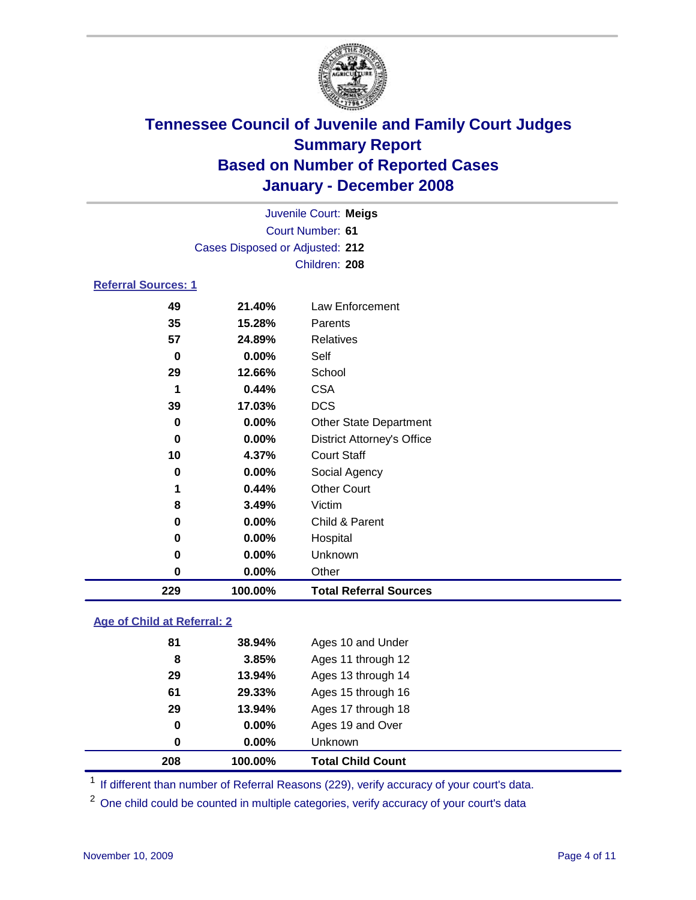

|                                 |          | Juvenile Court: Meigs |  |  |  |
|---------------------------------|----------|-----------------------|--|--|--|
| Court Number: 61                |          |                       |  |  |  |
| Cases Disposed or Adjusted: 212 |          |                       |  |  |  |
|                                 |          | Children: 208         |  |  |  |
| <b>Referral Sources: 1</b>      |          |                       |  |  |  |
| 49                              | 21.40%   | Law Enforcement       |  |  |  |
| 35                              | 15.28%   | Parents               |  |  |  |
| 57                              | 24.89%   | Relatives             |  |  |  |
| 0                               | $0.00\%$ | Self                  |  |  |  |
| 29                              | 12.66%   | School                |  |  |  |
| 1                               | 0.44%    | <b>CSA</b>            |  |  |  |

| 229 | 100.00%  | <b>Total Referral Sources</b>     |
|-----|----------|-----------------------------------|
| 0   | 0.00%    | Other                             |
| 0   | 0.00%    | Unknown                           |
| 0   | 0.00%    | Hospital                          |
| 0   | $0.00\%$ | Child & Parent                    |
| 8   | 3.49%    | Victim                            |
| 1   | 0.44%    | <b>Other Court</b>                |
| 0   | 0.00%    | Social Agency                     |
| 10  | 4.37%    | <b>Court Staff</b>                |
| 0   | 0.00%    | <b>District Attorney's Office</b> |
| 0   | 0.00%    | <b>Other State Department</b>     |
| 39  | 17.03%   | <b>DCS</b>                        |
| 1   | 0.44%    | <b>CSA</b>                        |

### **Age of Child at Referral: 2**

| 208 | 100.00% | <b>Total Child Count</b> |
|-----|---------|--------------------------|
| 0   | 0.00%   | <b>Unknown</b>           |
| 0   | 0.00%   | Ages 19 and Over         |
| 29  | 13.94%  | Ages 17 through 18       |
| 61  | 29.33%  | Ages 15 through 16       |
| 29  | 13.94%  | Ages 13 through 14       |
| 8   | 3.85%   | Ages 11 through 12       |
| 81  | 38.94%  | Ages 10 and Under        |

<sup>1</sup> If different than number of Referral Reasons (229), verify accuracy of your court's data.

<sup>2</sup> One child could be counted in multiple categories, verify accuracy of your court's data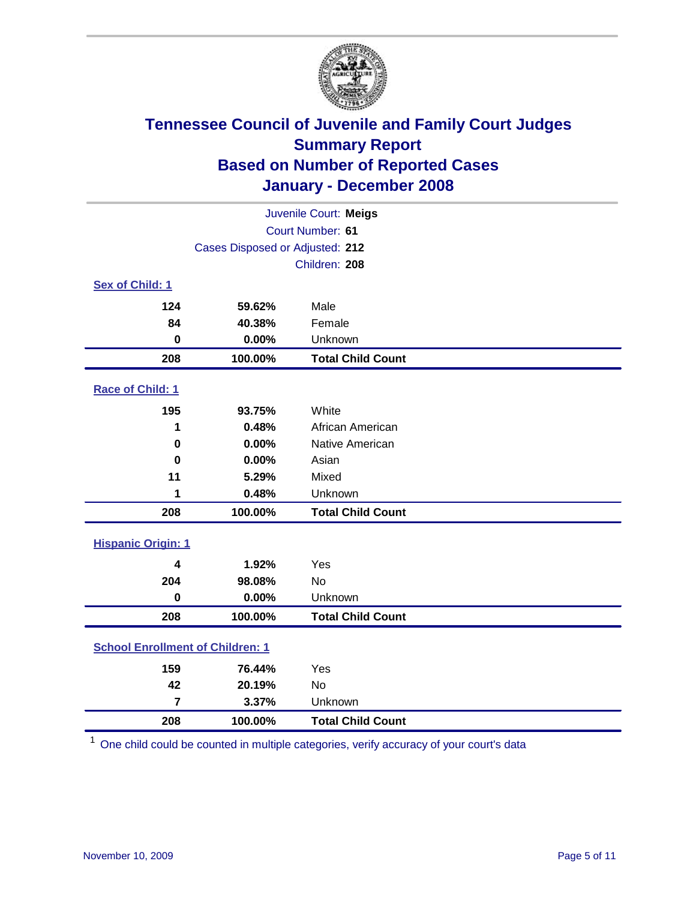

| Juvenile Court: Meigs                   |                                 |                          |  |  |  |
|-----------------------------------------|---------------------------------|--------------------------|--|--|--|
| Court Number: 61                        |                                 |                          |  |  |  |
|                                         | Cases Disposed or Adjusted: 212 |                          |  |  |  |
|                                         | Children: 208                   |                          |  |  |  |
| Sex of Child: 1                         |                                 |                          |  |  |  |
| 124                                     | 59.62%                          | Male                     |  |  |  |
| 84                                      | 40.38%                          | Female                   |  |  |  |
| $\bf{0}$                                | 0.00%                           | Unknown                  |  |  |  |
| 208                                     | 100.00%                         | <b>Total Child Count</b> |  |  |  |
| <b>Race of Child: 1</b>                 |                                 |                          |  |  |  |
| 195                                     | 93.75%                          | White                    |  |  |  |
| 1                                       | 0.48%                           | African American         |  |  |  |
| 0                                       | 0.00%                           | Native American          |  |  |  |
| $\bf{0}$                                | 0.00%                           | Asian                    |  |  |  |
| 11                                      | 5.29%                           | Mixed                    |  |  |  |
| 1                                       | 0.48%                           | Unknown                  |  |  |  |
| 208                                     | 100.00%                         | <b>Total Child Count</b> |  |  |  |
| <b>Hispanic Origin: 1</b>               |                                 |                          |  |  |  |
| 4                                       | 1.92%                           | Yes                      |  |  |  |
| 204                                     | 98.08%                          | <b>No</b>                |  |  |  |
| $\mathbf 0$                             | 0.00%                           | Unknown                  |  |  |  |
| 208                                     | 100.00%                         | <b>Total Child Count</b> |  |  |  |
| <b>School Enrollment of Children: 1</b> |                                 |                          |  |  |  |
| 159                                     | 76.44%                          | Yes                      |  |  |  |
| 42                                      | 20.19%                          | No                       |  |  |  |
| $\overline{7}$                          | 3.37%                           | Unknown                  |  |  |  |
| 208                                     | 100.00%                         | <b>Total Child Count</b> |  |  |  |

One child could be counted in multiple categories, verify accuracy of your court's data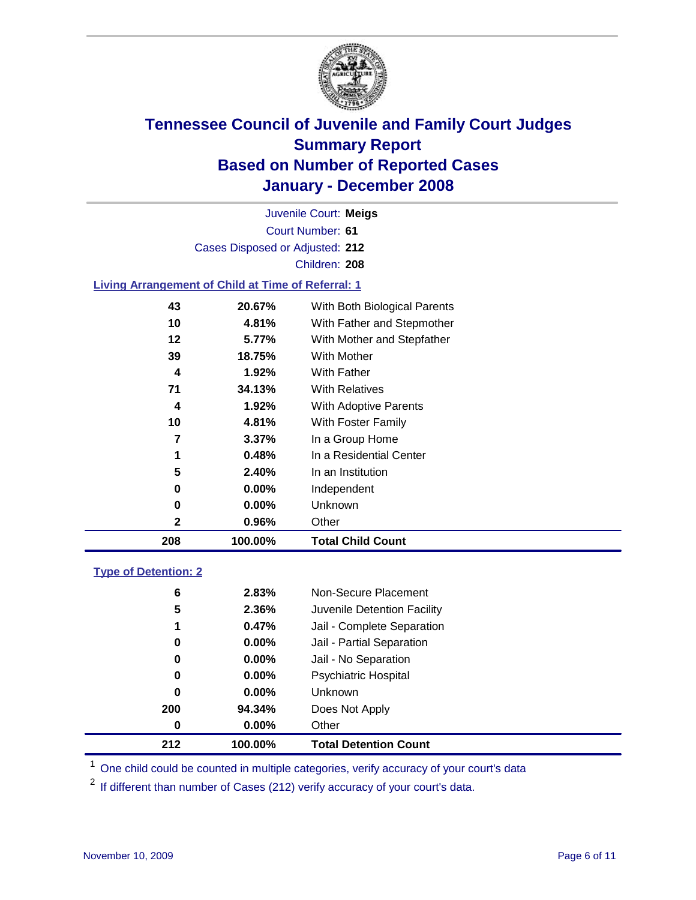

Court Number: **61** Juvenile Court: **Meigs** Cases Disposed or Adjusted: **212** Children: **208 Living Arrangement of Child at Time of Referral: 1**

| 208 | 100.00%  | <b>Total Child Count</b>     |
|-----|----------|------------------------------|
| 2   | 0.96%    | Other                        |
| 0   | $0.00\%$ | Unknown                      |
| 0   | $0.00\%$ | Independent                  |
| 5   | 2.40%    | In an Institution            |
|     | 0.48%    | In a Residential Center      |
| 7   | $3.37\%$ | In a Group Home              |
| 10  | 4.81%    | With Foster Family           |
| 4   | 1.92%    | With Adoptive Parents        |
| 71  | 34.13%   | <b>With Relatives</b>        |
| 4   | 1.92%    | With Father                  |
| 39  | 18.75%   | With Mother                  |
| 12  | 5.77%    | With Mother and Stepfather   |
| 10  | 4.81%    | With Father and Stepmother   |
| 43  | 20.67%   | With Both Biological Parents |
|     |          |                              |

### **Type of Detention: 2**

| 212 | 100.00%  | <b>Total Detention Count</b> |  |
|-----|----------|------------------------------|--|
| 0   | 0.00%    | Other                        |  |
| 200 | 94.34%   | Does Not Apply               |  |
| 0   | $0.00\%$ | <b>Unknown</b>               |  |
| 0   | 0.00%    | <b>Psychiatric Hospital</b>  |  |
| 0   | $0.00\%$ | Jail - No Separation         |  |
| 0   | $0.00\%$ | Jail - Partial Separation    |  |
| 1   | 0.47%    | Jail - Complete Separation   |  |
| 5   | 2.36%    | Juvenile Detention Facility  |  |
| 6   | 2.83%    | Non-Secure Placement         |  |
|     |          |                              |  |

<sup>1</sup> One child could be counted in multiple categories, verify accuracy of your court's data

<sup>2</sup> If different than number of Cases (212) verify accuracy of your court's data.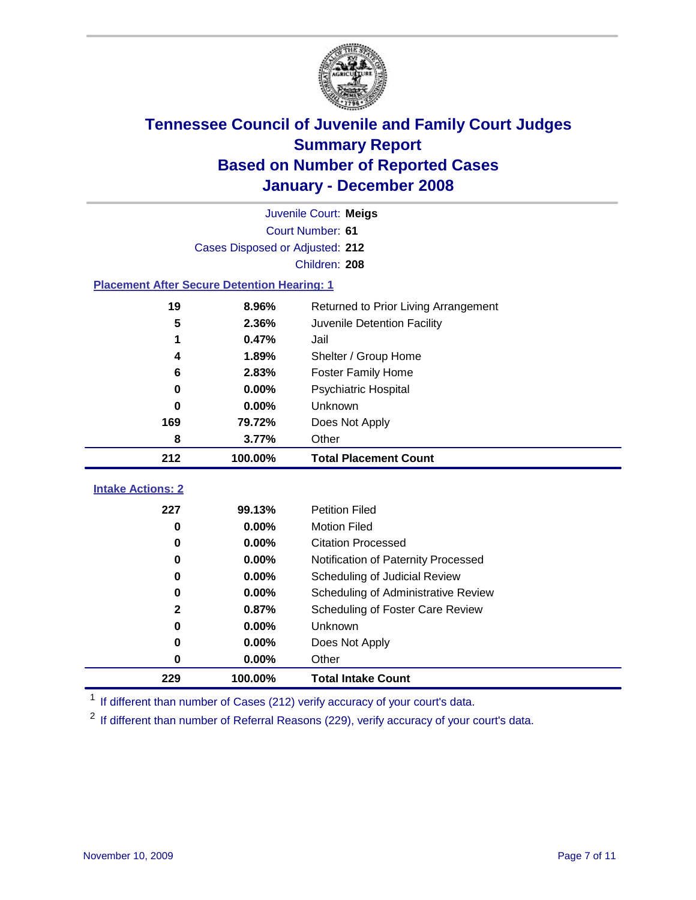

|                                                    | Juvenile Court: Meigs           |                                      |  |  |
|----------------------------------------------------|---------------------------------|--------------------------------------|--|--|
|                                                    |                                 | Court Number: 61                     |  |  |
|                                                    | Cases Disposed or Adjusted: 212 |                                      |  |  |
| Children: 208                                      |                                 |                                      |  |  |
| <b>Placement After Secure Detention Hearing: 1</b> |                                 |                                      |  |  |
| 19                                                 | 8.96%                           | Returned to Prior Living Arrangement |  |  |
| 5                                                  | 2.36%                           | Juvenile Detention Facility          |  |  |
|                                                    | 0.47%                           | Jail                                 |  |  |
| 4                                                  | 1.89%                           | Shelter / Group Home                 |  |  |
| 6                                                  | 2.83%                           | <b>Foster Family Home</b>            |  |  |
| $\bf{0}$                                           | 0.00%                           | Psychiatric Hospital                 |  |  |
| 0                                                  | 0.00%                           | Unknown                              |  |  |
| 169                                                | 79.72%                          | Does Not Apply                       |  |  |
| 8                                                  | 3.77%                           | Other                                |  |  |
|                                                    |                                 |                                      |  |  |
| 212                                                | 100.00%                         | <b>Total Placement Count</b>         |  |  |
|                                                    |                                 |                                      |  |  |
| <b>Intake Actions: 2</b><br>227                    | 99.13%                          | <b>Petition Filed</b>                |  |  |
| 0                                                  | 0.00%                           | <b>Motion Filed</b>                  |  |  |
| 0                                                  | 0.00%                           | <b>Citation Processed</b>            |  |  |
| 0                                                  | 0.00%                           | Notification of Paternity Processed  |  |  |
| 0                                                  | 0.00%                           | Scheduling of Judicial Review        |  |  |
| 0                                                  | 0.00%                           | Scheduling of Administrative Review  |  |  |
| $\mathbf 2$                                        | 0.87%                           | Scheduling of Foster Care Review     |  |  |
| $\bf{0}$                                           | 0.00%                           | Unknown                              |  |  |
| 0                                                  | 0.00%                           | Does Not Apply                       |  |  |
| $\bf{0}$                                           | 0.00%                           | Other                                |  |  |

<sup>1</sup> If different than number of Cases (212) verify accuracy of your court's data.

<sup>2</sup> If different than number of Referral Reasons (229), verify accuracy of your court's data.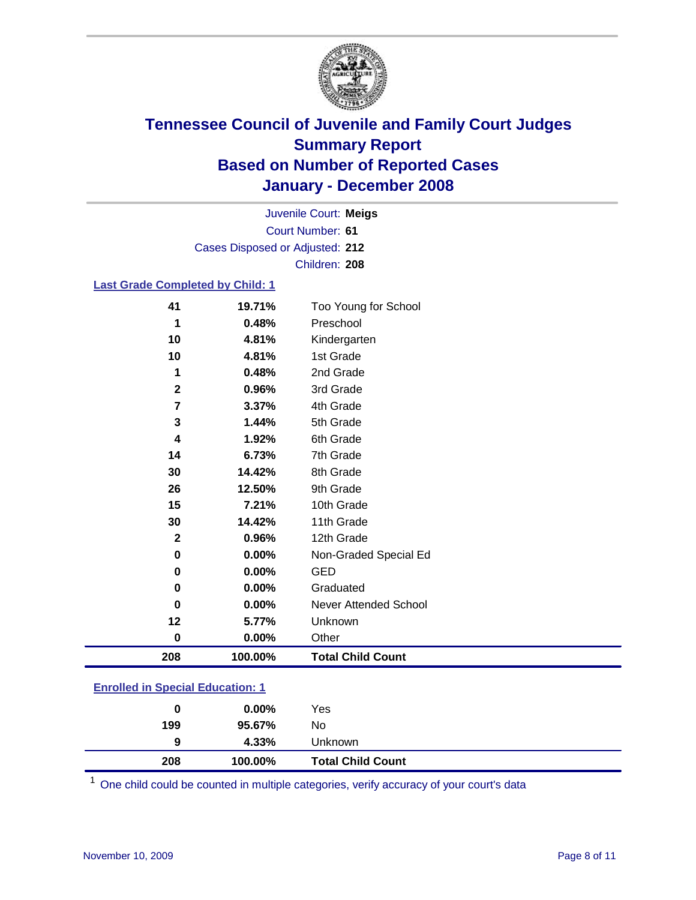

Court Number: **61** Juvenile Court: **Meigs** Cases Disposed or Adjusted: **212** Children: **208**

### **Last Grade Completed by Child: 1**

| 41                      | 19.71%  | Too Young for School     |
|-------------------------|---------|--------------------------|
| 1                       | 0.48%   | Preschool                |
| 10                      | 4.81%   | Kindergarten             |
| 10                      | 4.81%   | 1st Grade                |
| 1                       | 0.48%   | 2nd Grade                |
| $\mathbf 2$             | 0.96%   | 3rd Grade                |
| $\overline{\mathbf{r}}$ | 3.37%   | 4th Grade                |
| 3                       | 1.44%   | 5th Grade                |
| 4                       | 1.92%   | 6th Grade                |
| 14                      | 6.73%   | 7th Grade                |
| 30                      | 14.42%  | 8th Grade                |
| 26                      | 12.50%  | 9th Grade                |
| 15                      | 7.21%   | 10th Grade               |
| 30                      | 14.42%  | 11th Grade               |
| $\mathbf{2}$            | 0.96%   | 12th Grade               |
| $\pmb{0}$               | 0.00%   | Non-Graded Special Ed    |
| 0                       | 0.00%   | <b>GED</b>               |
| 0                       | 0.00%   | Graduated                |
| $\bf{0}$                | 0.00%   | Never Attended School    |
| 12                      | 5.77%   | Unknown                  |
| 0                       | 0.00%   | Other                    |
| 208                     | 100.00% | <b>Total Child Count</b> |

### **Enrolled in Special Education: 1**

| 208<br>100.00%       | <b>Total Child Count</b> |
|----------------------|--------------------------|
| 4.33%<br>9           | Unknown                  |
| 199<br>No<br>95.67%  |                          |
| Yes<br>$0.00\%$<br>0 |                          |

<sup>1</sup> One child could be counted in multiple categories, verify accuracy of your court's data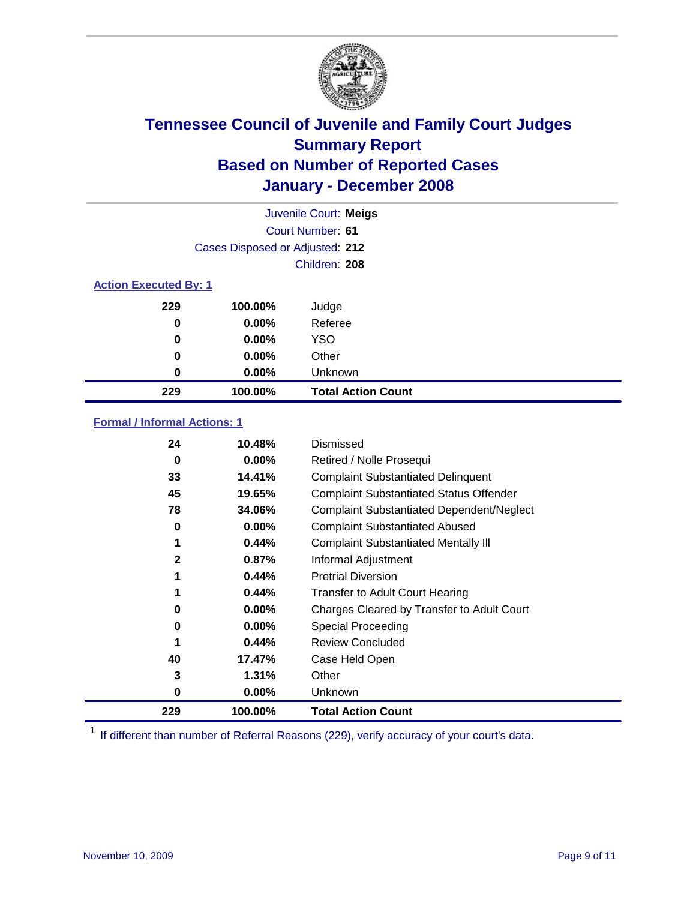

|                              |                                 | Juvenile Court: Meigs     |
|------------------------------|---------------------------------|---------------------------|
|                              |                                 | Court Number: 61          |
|                              | Cases Disposed or Adjusted: 212 |                           |
|                              |                                 | Children: 208             |
| <b>Action Executed By: 1</b> |                                 |                           |
| 229                          | 100.00%                         | Judge                     |
| 0                            | $0.00\%$                        | Referee                   |
| 0                            | $0.00\%$                        | <b>YSO</b>                |
| 0                            | $0.00\%$                        | Other                     |
| 0                            | $0.00\%$                        | Unknown                   |
| 229                          | 100.00%                         | <b>Total Action Count</b> |

### **Formal / Informal Actions: 1**

| 24           | 10.48%   | Dismissed                                        |
|--------------|----------|--------------------------------------------------|
| 0            | $0.00\%$ | Retired / Nolle Prosequi                         |
| 33           | 14.41%   | <b>Complaint Substantiated Delinquent</b>        |
| 45           | 19.65%   | <b>Complaint Substantiated Status Offender</b>   |
| 78           | 34.06%   | <b>Complaint Substantiated Dependent/Neglect</b> |
| 0            | 0.00%    | <b>Complaint Substantiated Abused</b>            |
| 1            | 0.44%    | <b>Complaint Substantiated Mentally III</b>      |
| $\mathbf{2}$ | 0.87%    | Informal Adjustment                              |
| 1            | $0.44\%$ | <b>Pretrial Diversion</b>                        |
| 1            | 0.44%    | <b>Transfer to Adult Court Hearing</b>           |
| 0            | $0.00\%$ | Charges Cleared by Transfer to Adult Court       |
| 0            | $0.00\%$ | Special Proceeding                               |
| 1            | 0.44%    | <b>Review Concluded</b>                          |
| 40           | 17.47%   | Case Held Open                                   |
| 3            | 1.31%    | Other                                            |
| 0            | $0.00\%$ | <b>Unknown</b>                                   |
| 229          | 100.00%  | <b>Total Action Count</b>                        |

<sup>1</sup> If different than number of Referral Reasons (229), verify accuracy of your court's data.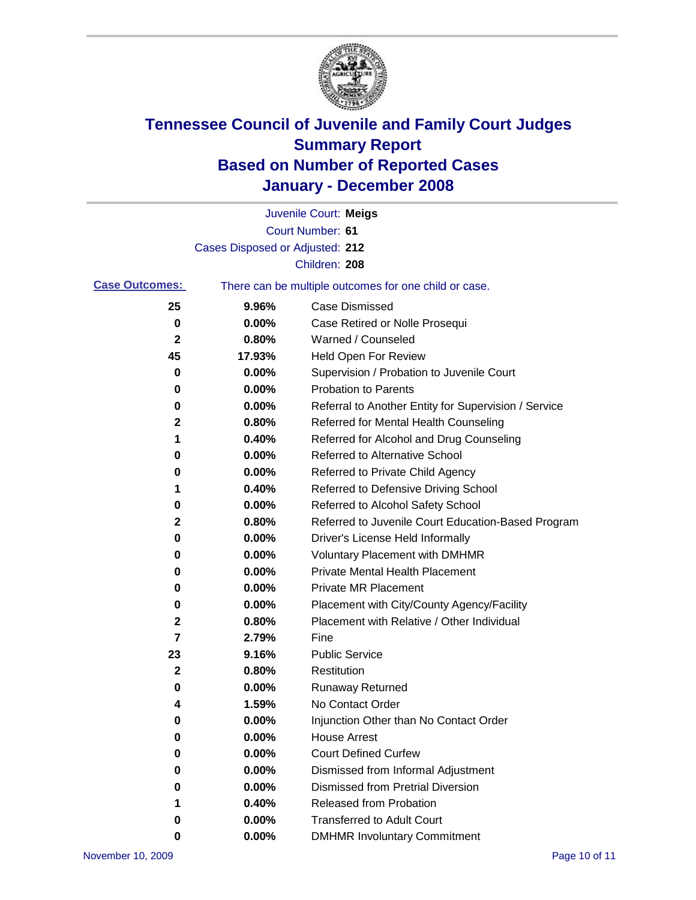

|                       |                                 | Juvenile Court: Meigs                                 |
|-----------------------|---------------------------------|-------------------------------------------------------|
|                       |                                 | Court Number: 61                                      |
|                       | Cases Disposed or Adjusted: 212 |                                                       |
|                       |                                 | Children: 208                                         |
| <b>Case Outcomes:</b> |                                 | There can be multiple outcomes for one child or case. |
| 25                    | 9.96%                           | <b>Case Dismissed</b>                                 |
| 0                     | 0.00%                           | Case Retired or Nolle Prosequi                        |
| 2                     | 0.80%                           | Warned / Counseled                                    |
| 45                    | 17.93%                          | Held Open For Review                                  |
| 0                     | 0.00%                           | Supervision / Probation to Juvenile Court             |
| 0                     | 0.00%                           | <b>Probation to Parents</b>                           |
| 0                     | 0.00%                           | Referral to Another Entity for Supervision / Service  |
| 2                     | 0.80%                           | Referred for Mental Health Counseling                 |
| 1                     | 0.40%                           | Referred for Alcohol and Drug Counseling              |
| 0                     | 0.00%                           | Referred to Alternative School                        |
| 0                     | 0.00%                           | Referred to Private Child Agency                      |
| 1                     | 0.40%                           | Referred to Defensive Driving School                  |
| 0                     | 0.00%                           | Referred to Alcohol Safety School                     |
| 2                     | 0.80%                           | Referred to Juvenile Court Education-Based Program    |
| 0                     | 0.00%                           | Driver's License Held Informally                      |
| 0                     | 0.00%                           | <b>Voluntary Placement with DMHMR</b>                 |
| 0                     | 0.00%                           | Private Mental Health Placement                       |
| 0                     | 0.00%                           | <b>Private MR Placement</b>                           |
| 0                     | 0.00%                           | Placement with City/County Agency/Facility            |
| 2                     | 0.80%                           | Placement with Relative / Other Individual            |
| 7                     | 2.79%                           | Fine                                                  |
| 23                    | 9.16%                           | <b>Public Service</b>                                 |
| 2                     | 0.80%                           | Restitution                                           |
| 0                     | 0.00%                           | <b>Runaway Returned</b>                               |
| 4                     | 1.59%                           | No Contact Order                                      |
| 0                     | 0.00%                           | Injunction Other than No Contact Order                |
| 0                     | 0.00%                           | <b>House Arrest</b>                                   |
| 0                     | 0.00%                           | <b>Court Defined Curfew</b>                           |
| 0                     | 0.00%                           | Dismissed from Informal Adjustment                    |
| 0                     | 0.00%                           | <b>Dismissed from Pretrial Diversion</b>              |
| 1                     | 0.40%                           | Released from Probation                               |
| 0                     | 0.00%                           | <b>Transferred to Adult Court</b>                     |
| 0                     | 0.00%                           | <b>DMHMR Involuntary Commitment</b>                   |